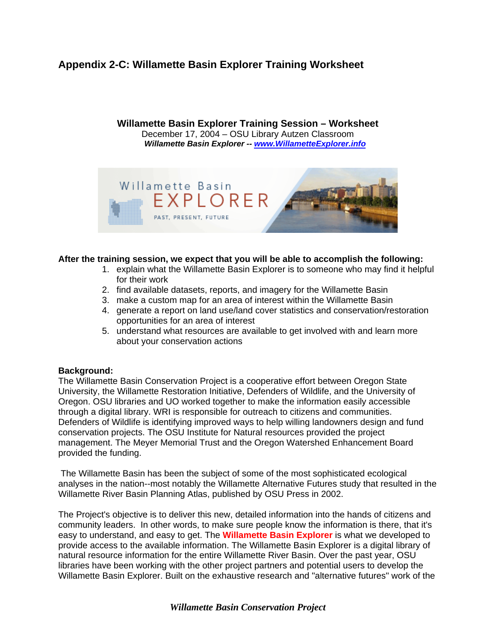## **Appendix 2-C: Willamette Basin Explorer Training Worksheet**

**Willamette Basin Explorer Training Session – Worksheet**  December 17, 2004 – OSU Library Autzen Classroom *Willamette Basin Explorer -- [www.WillametteExplorer.info](http://www.willametteexplorer.info/)*



## **After the training session, we expect that you will be able to accomplish the following:**

- 1. explain what the Willamette Basin Explorer is to someone who may find it helpful for their work
- 2. find available datasets, reports, and imagery for the Willamette Basin
- 3. make a custom map for an area of interest within the Willamette Basin
- 4. generate a report on land use/land cover statistics and conservation/restoration opportunities for an area of interest
- 5. understand what resources are available to get involved with and learn more about your conservation actions

## **Background:**

The Willamette Basin Conservation Project is a cooperative effort between Oregon State University, the Willamette Restoration Initiative, Defenders of Wildlife, and the University of Oregon. OSU libraries and UO worked together to make the information easily accessible through a digital library. WRI is responsible for outreach to citizens and communities. Defenders of Wildlife is identifying improved ways to help willing landowners design and fund conservation projects. The OSU Institute for Natural resources provided the project management. The Meyer Memorial Trust and the Oregon Watershed Enhancement Board provided the funding.

 The Willamette Basin has been the subject of some of the most sophisticated ecological analyses in the nation--most notably the Willamette Alternative Futures study that resulted in the Willamette River Basin Planning Atlas, published by OSU Press in 2002.

The Project's objective is to deliver this new, detailed information into the hands of citizens and community leaders. In other words, to make sure people know the information is there, that it's easy to understand, and easy to get. The **Willamette Basin Explorer** is what we developed to provide access to the available information. The Willamette Basin Explorer is a digital library of natural resource information for the entire Willamette River Basin. Over the past year, OSU libraries have been working with the other project partners and potential users to develop the Willamette Basin Explorer. Built on the exhaustive research and "alternative futures" work of the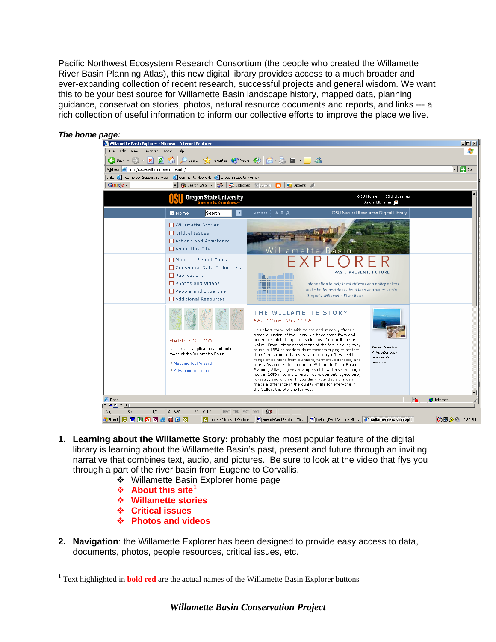Pacific Northwest Ecosystem Research Consortium (the people who created the Willamette River Basin Planning Atlas), this new digital library provides access to a much broader and ever-expanding collection of recent research, successful projects and general wisdom. We want this to be your best source for Willamette Basin landscape history, mapped data, planning guidance, conservation stories, photos, natural resource documents and reports, and links --- a rich collection of useful information to inform our collective efforts to improve the place we live.



*The home page:* 

- **1. Learning about the Willamette Story:** probably the most popular feature of the digital library is learning about the Willamette Basin's past, present and future through an inviting narrative that combines text, audio, and pictures. Be sure to look at the video that flys you through a part of the river basin from Eugene to Corvallis.
	- ❖ Willamette Basin Explorer home page
	- **↑ About this site<sup>[1](#page-1-0)</sup>**
	- **Willamette stories**
	- **Critical issues**

 $\overline{a}$ 

- **Photos and videos**
- **2. Navigation**: the Willamette Explorer has been designed to provide easy access to data, documents, photos, people resources, critical issues, etc.

<span id="page-1-0"></span><sup>&</sup>lt;sup>1</sup> Text highlighted in **bold red** are the actual names of the Willamette Basin Explorer buttons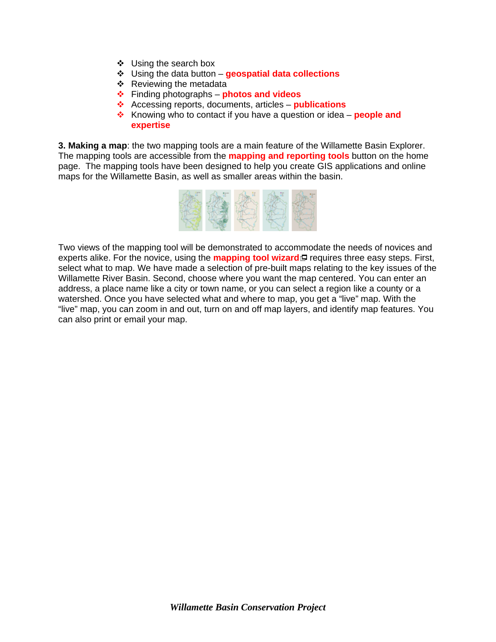- Using the search box
- Using the data button **geospatial data collections**
- $\div$  Reviewing the metadata
- Finding photographs **photos and videos**
- Accessing reports, documents, articles **publications**
- **EXALUARER** Knowing who to contact if you have a question or idea **people and expertise**

**3. Making a map**: the two mapping tools are a main feature of the Willamette Basin Explorer. The mapping tools are accessible from the **mapping and reporting tools** button on the home page. The mapping tools have been designed to help you create GIS applications and online maps for the Willamette Basin, as well as smaller areas within the basin.



Two views of the mapping tool will be demonstrated to accommodate the needs of novices and experts alike. For the novice, using the **[mapping tool wizard](http://willametteexplorer.info:8080/imf40619StandardWizard/osuInitializeMapToolWizard.jsp)** requires three easy steps. First, select what to map. We have made a selection of pre-built maps relating to the key issues of the Willamette River Basin. Second, choose where you want the map centered. You can enter an address, a place name like a city or town name, or you can select a region like a county or a watershed. Once you have selected what and where to map, you get a "live" map. With the "live" map, you can zoom in and out, turn on and off map layers, and identify map features. You can also print or email your map.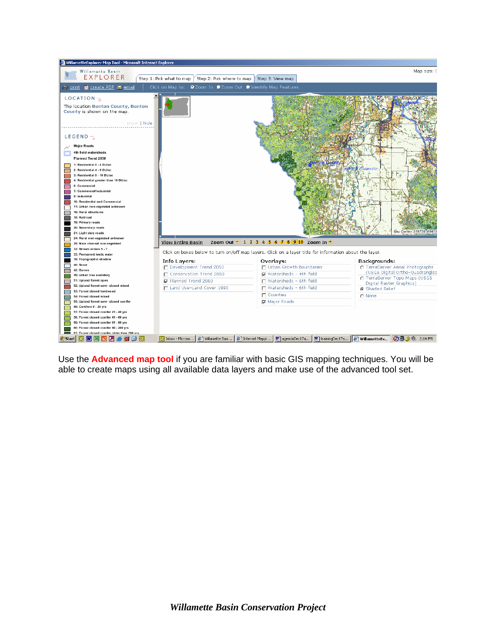

Use the **[Advanced map tool](http://willametteexplorer.info:8080/imf40619/imf.jsp?site=WRBAll3)** if you are familiar with basic GIS mapping techniques. You will be able to create maps using all available data layers and make use of the advanced tool set.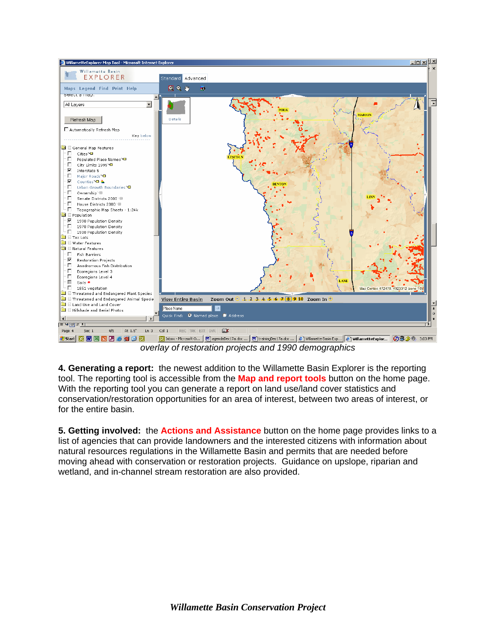

*overlay of restoration projects and 1990 demographics* 

**4. Generating a report:** the newest addition to the Willamette Basin Explorer is the reporting tool. The reporting tool is accessible from the **Map and report tools** button on the home page. With the reporting tool you can generate a report on land use/land cover statistics and conservation/restoration opportunities for an area of interest, between two areas of interest, or for the entire basin.

**5. Getting involved:** the **Actions and Assistance** button on the home page provides links to a list of agencies that can provide landowners and the interested citizens with information about natural resources regulations in the Willamette Basin and permits that are needed before moving ahead with conservation or restoration projects. Guidance on upslope, riparian and wetland, and in-channel stream restoration are also provided.